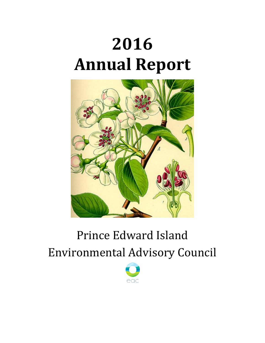# **2016 Annual Report**



# Prince Edward Island Environmental Advisory Council

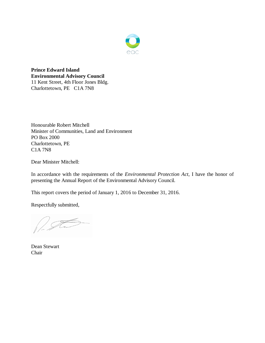

**Prince Edward Island Environmental Advisory Council** 11 Kent Street, 4th Floor Jones Bldg. Charlottetown, PE C1A 7N8

Honourable Robert Mitchell Minister of Communities, Land and Environment PO Box 2000 Charlottetown, PE C1A 7N8

Dear Minister Mitchell:

In accordance with the requirements of the *Environmental Protection Act*, I have the honor of presenting the Annual Report of the Environmental Advisory Council.

This report covers the period of January 1, 2016 to December 31, 2016.

Respectfully submitted,

Dean Stewart Chair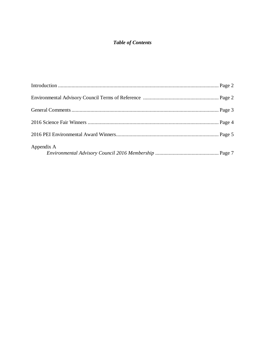# *Table of Contents*

| Appendix A |  |
|------------|--|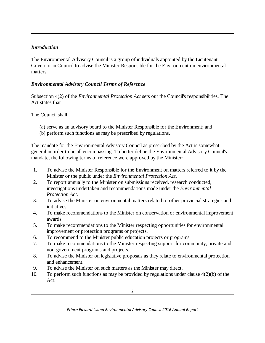#### *Introduction*

The Environmental Advisory Council is a group of individuals appointed by the Lieutenant Governor in Council to advise the Minister Responsible for the Environment on environmental matters.

#### *Environmental Advisory Council Terms of Reference*

Subsection 4(2) of the *Environmental Protection Act* sets out the Council's responsibilities. The Act states that

The Council shall

- (a) serve as an advisory board to the Minister Responsible for the Environment; and
- (b) perform such functions as may be prescribed by regulations.

The mandate for the Environmental Advisory Council as prescribed by the Act is somewhat general in order to be all encompassing. To better define the Environmental Advisory Council's mandate, the following terms of reference were approved by the Minister:

- 1. To advise the Minister Responsible for the Environment on matters referred to it by the Minister or the public under the *Environmental Protection Act*.
- 2. To report annually to the Minister on submissions received, research conducted, investigations undertaken and recommendations made under the *Environmental Protection Act*.
- 3. To advise the Minister on environmental matters related to other provincial strategies and initiatives.
- 4. To make recommendations to the Minister on conservation or environmental improvement awards.
- 5. To make recommendations to the Minister respecting opportunities for environmental improvement or protection programs or projects.
- 6. To recommend to the Minister public education projects or programs.
- 7. To make recommendations to the Minister respecting support for community, private and non-government programs and projects.
- 8. To advise the Minister on legislative proposals as they relate to environmental protection and enhancement.
- 9. To advise the Minister on such matters as the Minister may direct.
- 10. To perform such functions as may be provided by regulations under clause 4(2)(b) of the Act.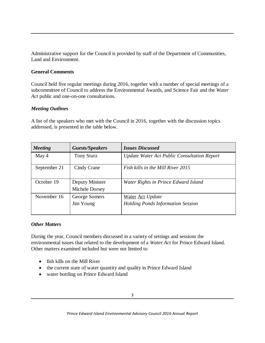Administrative support for the Council is provided by staff of the Department of Communities, Land and Environment.

#### **General Comments**

Council held five regular meetings during 2016, together with a number of special meetings of a subcommittee of Council to address the Environmental Awards, and Science Fair and the *Water*  Act public and one-on-one consultations.

#### *Meeting Outlines*

A list of the speakers who met with the Council in 2016, together with the discussion topics addressed, is presented in the table below.

| <b>Guests/Speakers</b>            | <b>Issues Discussed</b>                                             |
|-----------------------------------|---------------------------------------------------------------------|
| <b>Tony Sturz</b>                 | Update Water Act Public Consultation Report                         |
| Cindy Crane                       | Fish kills in the Mill River 2015                                   |
| Deputy Minister<br>Michele Dorsey | Water Rights in Prince Edward Island                                |
| George Somers<br>Jim Young        | <b>Water Act Update</b><br><b>Holding Ponds Information Session</b> |
|                                   |                                                                     |

#### *Other Matters*

During the year, Council members discussed in a variety of settings and sessions the environmental issues that related to the development of a *Water Act* for Prince Edward Island. Other matters examined included but were not limited to

- fish kills on the Mill River
- the current state of water quantity and quality in Prince Edward Island
- water bottling on Prince Edward Island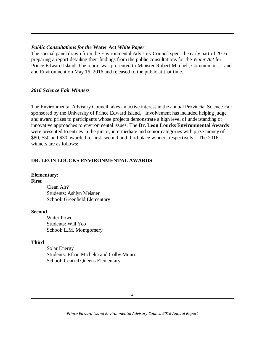#### *Public Consultations for the* **Water Act** *White Paper*

The special panel drawn from the Environmental Advisory Council spent the early part of 2016 preparing a report detailing their findings from the public consultations for the *Water Act* for Prince Edward Island. The report was presented to Minister Robert Mitchell, Communities, Land and Environment on May 16, 2016 and released to the public at that time.

#### *2016 Science Fair Winners*

The Environmental Advisory Council takes an active interest in the annual Provincial Science Fair sponsored by the University of Prince Edward Island. Involvement has included helping judge and award prizes to participants whose projects demonstrate a high level of understanding or innovative approaches to environmental issues. The **Dr. Leon Loucks Environmental Awards**  were presented to entries in the junior, intermediate and senior categories with prize money of \$80, \$50 and \$30 awarded to first, second and third place winners respectively. The 2016 winners are as follows:

#### **DR. LEON LOUCKS ENVIRONMENTAL AWARDS**

#### **Elementary:**

#### **First**

Clean Air? Students: Ashlyn Meisner School: Greenfield Elementary

#### **Second**

Water Power Students: Will Yeo School: L.M. Montgomery

#### **Third**

Solar Energy Students: Ethan Michelin and Colby Munro School: Central Queens Elementary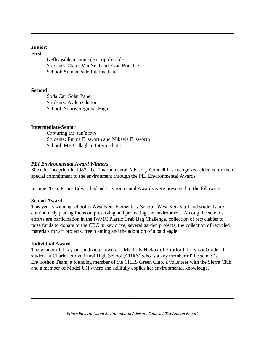#### **Junior:**

#### **First**

L'effroyable manque de sirop d'érable Students: Claire MacNeill and Evan Bouchie School: Summerside Intermediate

#### **Second**

Soda Can Solar Panel Students: Ayden Clinton School: Souris Regional High

#### **Intermediate/Senior**

Capturing the sun's rays Students: Emma Ellsworth and Mikayla Ellsworth School: ME Callaghan Intermediate

# *PEI Environmental Award Winners*

Since its inception in 1987, the Environmental Advisory Council has recognized citizens for their special commitment to the environment through the PEI Environmental Awards.

In June 2016, Prince Edward Island Environmental Awards were presented to the following:

# **School Award**

This year's winning school is West Kent Elementary School. West Kent staff and students are continuously placing focus on preserving and protecting the environment. Among the schools efforts are participation in the IWMC Plastic Grab Bag Challenge, collection of recyclables to raise funds to donate to the CBC turkey drive, several garden projects, the collection of recycled materials for art projects, tree planting and the adoption of a bald eagle.

# **Individual Award**

The winner of this year's individual award is Ms. Lilly Hickox of Stratford. Lilly is a Grade 11 student at Charlottetown Rural High School (CHRS) who is a key member of the school's Envirothon Team, a founding member of the CRHS Green Club, a volunteer with the Sierra Club and a member of Model UN where she skillfully applies her environmental knowledge.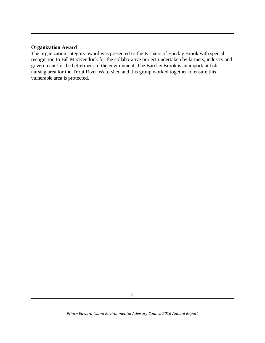#### **Organization Award**

The organization category award was presented to the Farmers of Barclay Brook with special recognition to Bill MacKendrick for the collaborative project undertaken by farmers, industry and government for the betterment of the environment. The Barclay Brook is an important fish nursing area for the Trout River Watershed and this group worked together to ensure this vulnerable area is protected.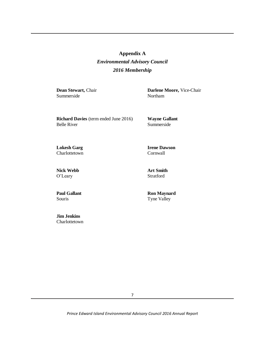# **Appendix A** *Environmental Advisory Council 2016 Membership*

**Dean Stewart,** Chair Summerside

**Darlene Moore,** Vice-Chair Northam

**Richard Davies** (term ended June 2016) Belle River

**Wayne Gallant** Summerside

**Irene Dawson**

**Lokesh Garg Charlottetown** 

Cornwall

**Nick Webb** O'Leary

**Paul Gallant** Souris

**Jim Jenkins** Charlottetown **Art Smith** Stratford

**Ron Maynard** Tyne Valley